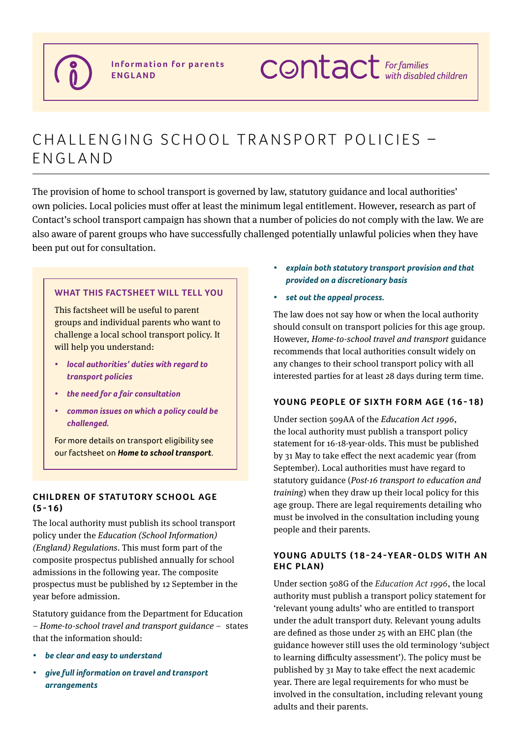

# CHALLENGING SCHOOL TRANSPORT POLICIES -FNGLAND

The provision of home to school transport is governed by law, statutory guidance and local authorities' own policies. Local policies must offer at least the minimum legal entitlement. However, research as part of Contact's school transport campaign has shown that a number of policies do not comply with the law. We are also aware of parent groups who have successfully challenged potentially unlawful policies when they have been put out for consultation.

# **what This factsheet will tell you**

This factsheet will be useful to parent groups and individual parents who want to challenge a local school transport policy. It will help you understand:

- *• local authorities' duties with regard to transport policies*
- *• the need for a fair consultation*
- *• common issues on which a policy could be challenged.*

For more details on transport eligibility see our factsheet on *Home to school transport*.

# **CHILDREN OF STATUTORY SCHOOL AGE (5-16)**

The local authority must publish its school transport policy under the *Education (School Information) (England) Regulations*. This must form part of the composite prospectus published annually for school admissions in the following year. The composite prospectus must be published by 12 September in the year before admission.

Statutory guidance from the Department for Education – *[Home-to-school travel and transport guidance](https://www.gov.uk/government/publications/home-to-school-travel-and-transport-guidance)* – states that the information should:

- *• be clear and easy to understand*
- *• give full information on travel and transport arrangements*
- *• explain both statutory transport provision and that provided on a discretionary basis*
- *• set out the appeal process.*

The law does not say how or when the local authority should consult on transport policies for this age group. However, *Home-to-school travel and transport* guidance recommends that local authorities consult widely on any changes to their school transport policy with all interested parties for at least 28 days during term time.

# **Young people of sixth form age (16-18)**

Under section 509AA of the *Education Act 1996*, the local authority must publish a transport policy statement for 16-18-year-olds. This must be published by 31 May to take effect the next academic year (from September). Local authorities must have regard to statutory guidance (*[Post-16 transport to education and](https://www.gov.uk/government/uploads/system/uploads/attachment_data/file/277016/Post-16_Transport_Guidance.pdf)  [training](https://www.gov.uk/government/uploads/system/uploads/attachment_data/file/277016/Post-16_Transport_Guidance.pdf)*) when they draw up their local policy for this age group. There are legal requirements detailing who must be involved in the consultation including young people and their parents.

# YOUNG ADULTS (18-24-YEAR-OLDS WITH AN **EHC plan)**

Under section 508G of the *Education Act 1996*, the local authority must publish a transport policy statement for 'relevant young adults' who are entitled to transport under the adult transport duty. Relevant young adults are defined as those under 25 with an EHC plan (the guidance however still uses the old terminology 'subject to learning difficulty assessment'). The policy must be published by 31 May to take effect the next academic year. There are legal requirements for who must be involved in the consultation, including relevant young adults and their parents.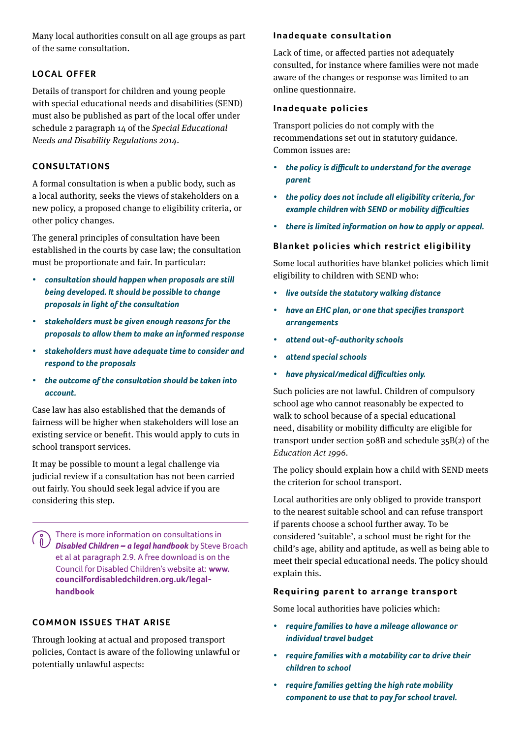Many local authorities consult on all age groups as part of the same consultation.

# **Local offer**

Details of transport for children and young people with special educational needs and disabilities (SEND) must also be published as part of the local offer under schedule 2 paragraph 14 of the *[Special Educational](https://www.google.co.uk/url?sa=t&rct=j&q=&esrc=s&source=web&cd=3&cad=rja&uact=8&ved=0ahUKEwigy4uDvJDWAhWEWxoKHfcLAqYQFggzMAI&url=http%3A%2F%2Fwww.legislation.gov.uk%2Fuksi%2F2014%2F1530%2Fcontents%2Fmade&usg=AFQjCNGRkWdftTSjuLVcvS4IcYCXDJl3Dw)  [Needs and Disability Regulations 2014](https://www.google.co.uk/url?sa=t&rct=j&q=&esrc=s&source=web&cd=3&cad=rja&uact=8&ved=0ahUKEwigy4uDvJDWAhWEWxoKHfcLAqYQFggzMAI&url=http%3A%2F%2Fwww.legislation.gov.uk%2Fuksi%2F2014%2F1530%2Fcontents%2Fmade&usg=AFQjCNGRkWdftTSjuLVcvS4IcYCXDJl3Dw)*.

# **CONSULTATIONS**

A formal consultation is when a public body, such as a local authority, seeks the views of stakeholders on a new policy, a proposed change to eligibility criteria, or other policy changes.

The general principles of consultation have been established in the courts by case law; the consultation must be proportionate and fair. In particular:

- *• consultation should happen when proposals are still being developed. It should be possible to change proposals in light ofthe consultation*
- *• stakeholders must be given enough reasons for the proposals to allow them to make an informed response*
- *• stakeholders must have adequate time to consider and respond to the proposals*
- *• the outcome ofthe consultation should be taken into account.*

Case law has also established that the demands of fairness will be higher when stakeholders will lose an existing service or benefit. This would apply to cuts in school transport services.

It may be possible to mount a legal challenge via judicial review if a consultation has not been carried out fairly. You should seek legal advice if you are considering this step.

There is more information on consultations in *Disabled Children – a legal handbook* by Steve Broach et al at paragraph 2.9. A free download is on the Council for Disabled Children's website at: **[www.](https://councilfordisabledchildren.org.uk/help-resources/resources/disabled-children-legal-handbook-2nd-edition 
) [councilfordisabledchildren.org.uk/legal](https://councilfordisabledchildren.org.uk/help-resources/resources/disabled-children-legal-handbook-2nd-edition 
)[handbook](https://councilfordisabledchildren.org.uk/help-resources/resources/disabled-children-legal-handbook-2nd-edition 
)**

# **COMMON ISSUES THAT ARISE**

Through looking at actual and proposed transport policies, Contact is aware of the following unlawful or potentially unlawful aspects:

# **Inadequate consultation**

Lack of time, or affected parties not adequately consulted, for instance where families were not made aware of the changes or response was limited to an online questionnaire.

#### **Inadequate policies**

Transport policies do not comply with the recommendations set out in statutory guidance. Common issues are:

- *• the policy is difficult to understand for the average parent*
- *• the policy does not include all eligibility criteria, for example children with SEND or mobility difficulties*
- *• there is limited information on how to apply or appeal.*

# **Blanket policies which restrict eligibility**

Some local authorities have blanket policies which limit eligibility to children with SEND who:

- *• live outside the statutory walking distance*
- *• have an EHC plan, or one that specifies transport arrangements*
- *• attend out-of-authority schools*
- *• attend special schools*
- *• have physical/medical difficulties only.*

Such policies are not lawful. Children of compulsory school age who cannot reasonably be expected to walk to school because of a special educational need, disability or mobility difficulty are eligible for transport under section 508B and schedule 35B(2) of the *Education Act 1996.*

The policy should explain how a child with SEND meets the criterion for school transport.

Local authorities are only obliged to provide transport to the nearest suitable school and can refuse transport if parents choose a school further away. To be considered 'suitable', a school must be right for the child's age, ability and aptitude, as well as being able to meet their special educational needs. The policy should explain this.

# **Requiring parent to arrange transport**

Some local authorities have policies which:

- *• require families to have a mileage allowance or individual travel budget*
- *• require families with a motability car to drive their children to school*
- *• require families getting the high rate mobility component to use that to pay for school travel.*